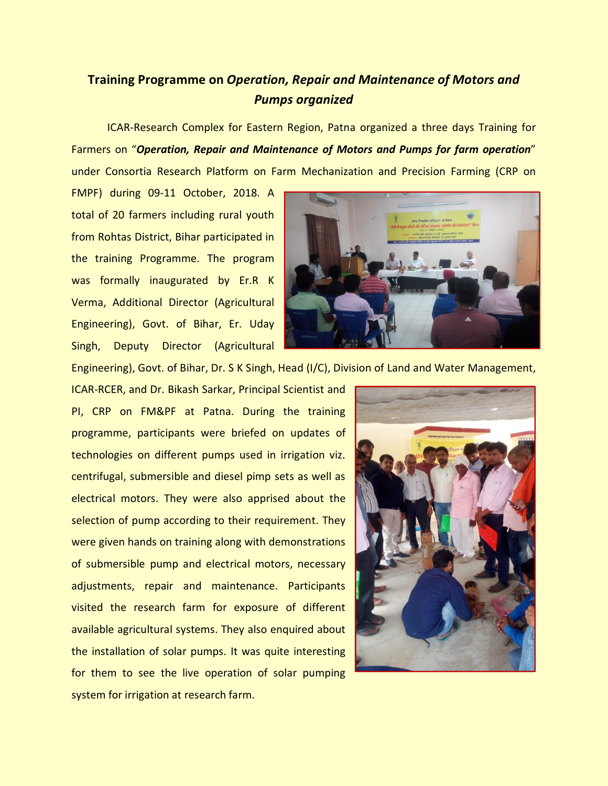## **Training Programme on** *Operation, Repair and Maintenance of Motors and Pumps organized*

ICAR-Research Complex for Eastern Region, Patna organized a three days Training for Farmers on "*Operation, Repair and Maintenance of Motors and Pumps for farm operation*" under Consortia Research Platform on Farm Mechanization and Precision Farming (CRP on

FMPF) during 09-11 October, 2018. A total of 20 farmers including rural youth from Rohtas District, Bihar participated in the training Programme. The program was formally inaugurated by Er.R K Verma, Additional Director (Agricultural Engineering), Govt. of Bihar, Er. Uday Singh, Deputy Director (Agricultural



Engineering), Govt. of Bihar, Dr. S K Singh, Head (I/C), Division of Land and Water Management,

ICAR-RCER, and Dr. Bikash Sarkar, Principal Scientist and PI, CRP on FM&PF at Patna. During the training programme, participants were briefed on updates of technologies on different pumps used in irrigation viz. centrifugal, submersible and diesel pimp sets as well as electrical motors. They were also apprised about the selection of pump according to their requirement. They were given hands on training along with demonstrations of submersible pump and electrical motors, necessary adjustments, repair and maintenance. Participants visited the research farm for exposure of different available agricultural systems. They also enquired about the installation of solar pumps. It was quite interesting for them to see the live operation of solar pumping system for irrigation at research farm.